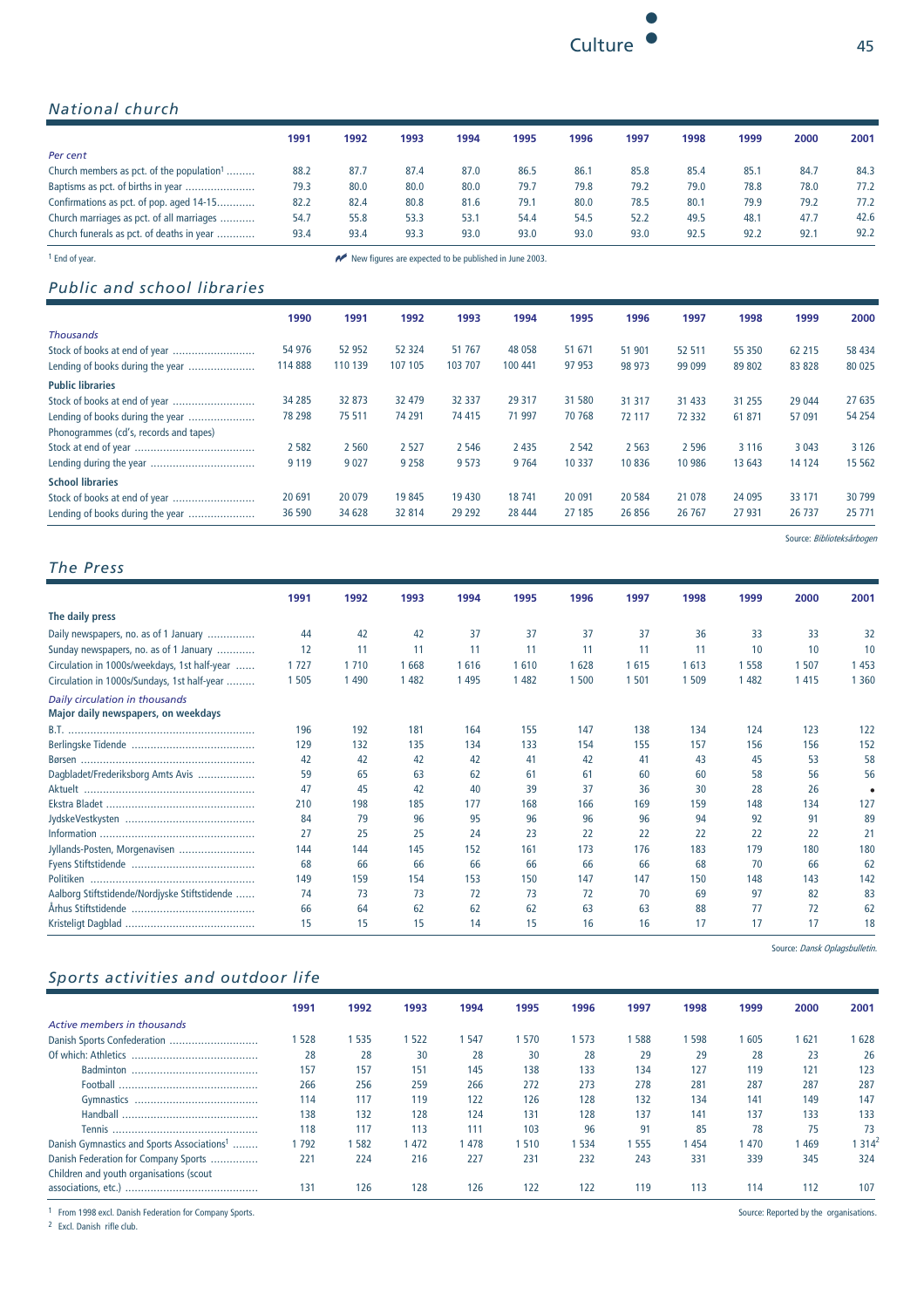

## *National church*

|                                                       | 1991 | 1992 | 1993 | 1994                                                   | 1995 | 1996 | 1997 | 1998 | 1999 | 2000 | 2001 |
|-------------------------------------------------------|------|------|------|--------------------------------------------------------|------|------|------|------|------|------|------|
| Per cent                                              |      |      |      |                                                        |      |      |      |      |      |      |      |
| Church members as pct. of the population <sup>1</sup> | 88.2 | 87.7 | 87.4 | 87.0                                                   | 86.5 | 86.1 | 85.8 | 85.4 | 85.1 | 84.7 | 84.3 |
| Baptisms as pct. of births in year                    | 79.3 | 80.0 | 80.0 | 80.0                                                   | 79.7 | 79.8 | 79.2 | 79.0 | 78.8 | 78.0 | 77.2 |
| Confirmations as pct. of pop. aged 14-15              | 82.2 | 82.4 | 80.8 | 81.6                                                   | 79.1 | 80.0 | 78.5 | 80.1 | 79.9 | 79.2 | 77.2 |
| Church marriages as pct. of all marriages             | 54.7 | 55.8 | 53.3 | 53.1                                                   | 54.4 | 54.5 | 52.2 | 49.5 | 48.1 | 47.7 | 42.6 |
| Church funerals as pct. of deaths in year             | 93.4 | 93.4 | 93.3 | 93.0                                                   | 93.0 | 93.0 | 93.0 | 92.5 | 92.2 | 92.1 | 92.2 |
| <sup>1</sup> End of vear.                             |      |      |      | New figures are expected to be published in June 2003. |      |      |      |      |      |      |      |

## *Public and school libraries*

|                                        | 1990    | 1991    | 1992    | 1993     | 1994    | 1995    | 1996    | 1997    | 1998    | 1999    | 2000     |
|----------------------------------------|---------|---------|---------|----------|---------|---------|---------|---------|---------|---------|----------|
| <b>Thousands</b>                       |         |         |         |          |         |         |         |         |         |         |          |
| Stock of books at end of year          | 54 976  | 52 952  | 52 324  | 51 767   | 48 0 58 | 51 671  | 51 901  | 52 511  | 55 350  | 62 215  | 58 4 34  |
| Lending of books during the year       | 114 888 | 110 139 | 107 105 | 103 707  | 100 441 | 97 953  | 98 973  | 99 099  | 89 802  | 83 828  | 80 0 25  |
| <b>Public libraries</b>                |         |         |         |          |         |         |         |         |         |         |          |
|                                        | 34 285  | 32 873  | 32 479  | 32 337   | 29 317  | 31 580  | 31 317  | 31 4 33 | 31 255  | 29 044  | 27 635   |
| Lending of books during the year       | 78 298  | 75 511  | 74 291  | 74 415   | 71 997  | 70 768  | 72 117  | 72 332  | 61 871  | 57 091  | 54 2 54  |
| Phonogrammes (cd's, records and tapes) |         |         |         |          |         |         |         |         |         |         |          |
|                                        | 2 5 8 2 | 2 5 6 0 | 2 5 2 7 | 2 5 4 6  | 2 4 3 5 | 2 5 4 2 | 2 5 6 3 | 2 5 9 6 | 3 1 1 6 | 3 0 4 3 | 3 1 2 6  |
|                                        | 9 1 1 9 | 9 0 2 7 | 9 2 5 8 | 9 5 7 3  | 9 7 6 4 | 10 3 37 | 10836   | 10 986  | 13 643  | 14 124  | 15 5 62  |
| <b>School libraries</b>                |         |         |         |          |         |         |         |         |         |         |          |
| Stock of books at end of year          | 20 691  | 20 0 79 | 19845   | 19 4 30  | 18 741  | 20 091  | 20584   | 21 0 78 | 24 0 95 | 33 1 71 | 30 799   |
| Lending of books during the year       | 36 590  | 34 628  | 32 814  | 29 2 9 2 | 28 444  | 27 185  | 26 856  | 26 767  | 27 931  | 26 737  | 25 7 7 1 |

Source: Biblioteksårbogen

### *The Press*

 **1991 1992 1993 1994 1995 1996 1997 1998 1999 2000 2001 The daily press** Daily newspapers, no. as of 1 January ............... 44 42 42 37 37 37 37 36 33 33 32 Sunday newspapers, no. as of 1 January ............. 12 11 11 11 11 11 11 11 11 11 11 10 10 10<br>Circulation in 1000s/weekdays 1st half-vear 1727 1710 1668 1616 1610 1628 1615 1613 1558 1507 1453 Circulation in 1000s/weekdays, 1st half-year ...... 1 727 1 710 1 668 1 616 1 610 1 628 1 615 1 613 1 558 1 507 1 453 Circulation in 1000s/Sundays, 1st half-year ......... 1 505 1 490 1 482 1 495 1 482 1 500 1 501 1 509 1 482 1 415 1 360 *Daily circulation in thousands* **Major daily newspapers, on weekdays**  B.T. ........................................................... 196 192 181 164 155 147 138 134 124 123 122 Berlingske Tidende ....................................... 129 132 135 134 133 154 155 157 156 156 152 Børsen ....................................................... 42 42 42 42 41 42 41 43 45 53 58 Dagbladet/Frederiksborg Amts Avis .................. 59 65 63 62 61 61 60 60 58 56 56 Aktuelt ...................................................... 47 45 42 40 39 37 36 30 28 26 • Ekstra Bladet ............................................... 210 198 185 177 168 166 169 159 148 134 127 JydskeVestkysten ......................................... 84 79 96 95 96 96 96 94 92 91 89 Information ................................................. 27 25 25 24 23 22 22 22 22 22 21 Jyllands-Posten, Morgenavisen ........................ 144 144 145 152 161 173 176 183 179 180 180 Fyens Stiftstidende ....................................... 68 66 66 66 66 66 66 68 70 66 62 Politiken .................................................... 149 159 154 153 150 147 147 150 148 143 142 Aalborg Stiftstidende/Nordjyske Stiftstidende ...... 74 73 73 72 73 72 70 69 97 82 83 Århus Stiftstidende ....................................... 66 64 62 62 62 63 63 88 77 72 62 Kristeligt Dagblad ......................................... 15 15 15 14 15 16 16 17 17 17 18

### *Sports activities and outdoor life*

|                                                        | 1991 | 1992 | 1993  | 1994 | 1995 | 1996 | 1997 | 1998 | 1999 | 2000         | 2001   |
|--------------------------------------------------------|------|------|-------|------|------|------|------|------|------|--------------|--------|
| Active members in thousands                            |      |      |       |      |      |      |      |      |      |              |        |
|                                                        | 528  | 535  | 522   | -547 | 570  | 573  | 588  | 598  | 605  | $62^{\circ}$ | 628    |
| Of which: Athletics                                    | 28   | 28   | 30    | 28   | 30   | 28   | 29   | 29   | 28   | 23           | 26     |
| <b>Badminton</b>                                       | 157  | 157  | 151   | 145  | 138  | 133  | 134  | 127  | 119  | 121          | 123    |
| Football                                               | 266  | 256  | 259   | 266  | 272  | 273  | 278  | 281  | 287  | 287          | 287    |
|                                                        | 114  | 117  | 119   | 122  | 126  | 128  | 132  | 134  | 141  | 149          | 147    |
|                                                        | 138  | 132  | 128   | 124  | 131  | 128  | 137  | 141  | 137  | 133          | 133    |
|                                                        | 118  | 117  | 113   | 111  | 103  | 96   | 91   | 85   | 78   | 75           | 73     |
| Danish Gymnastics and Sports Associations <sup>1</sup> | 792  | 582  | 1 472 | 478  | 510  | 534  | 555  | 454  | 470  | 469          | 1 3144 |
| Danish Federation for Company Sports                   | 221  | 224  | 216   | 227  | 231  | 232  | 243  | 331  | 339  | 345          | 324    |
| Children and youth organisations (scout                |      |      |       |      |      |      |      |      |      |              |        |
|                                                        | 131  | 126  | 128   | 126  | 122  | 122  | 119  | 113  | 114  | 112          | 107    |

<sup>1</sup> From 1998 excl. Danish Federation for Company Sports.

<sup>2</sup> Excl. Danish rifle club.

Source: Reported by the organisations.

Source: Dansk Oplagsbulletin.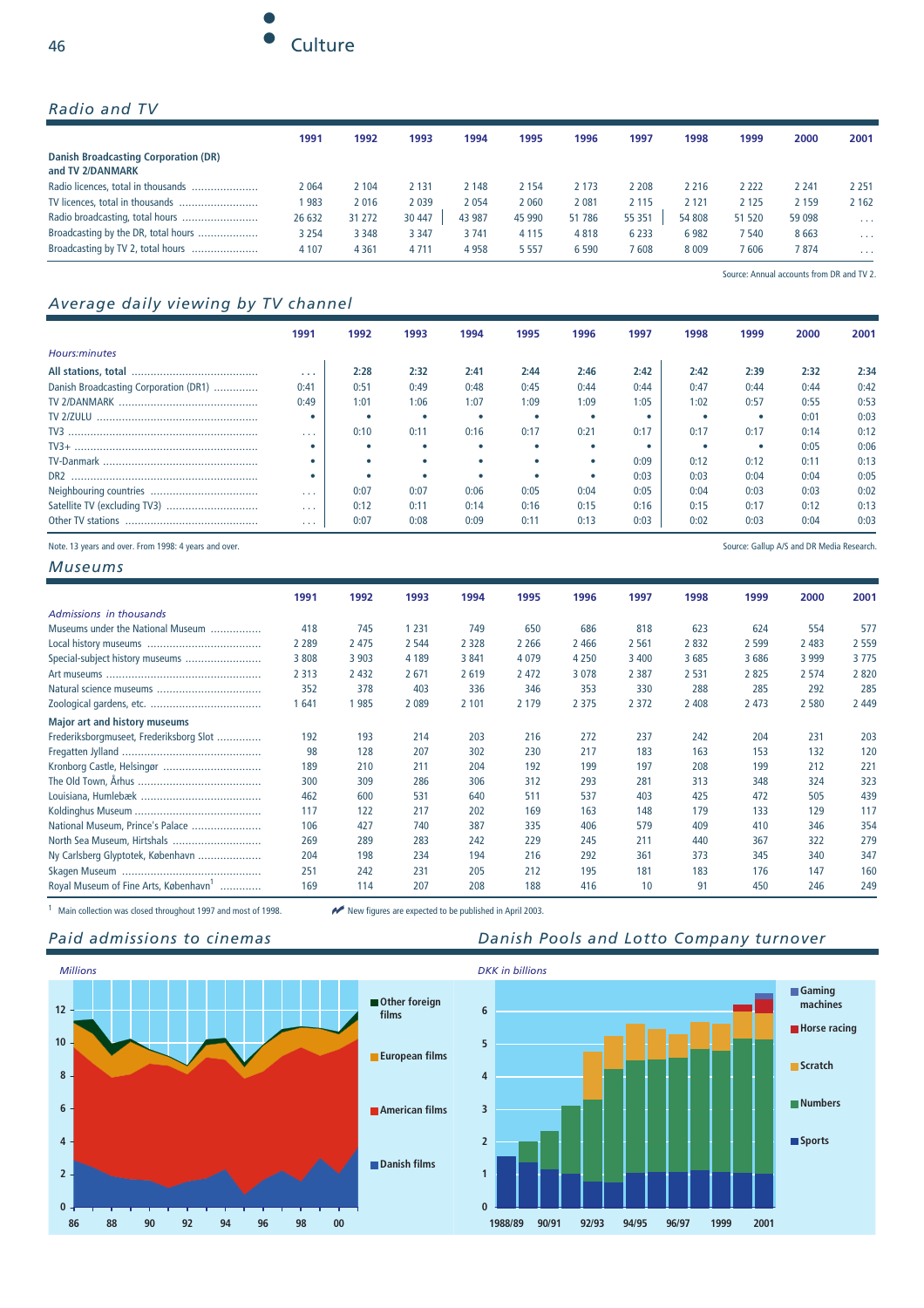

### *Radio and TV*

|                                                                 | 1991    | 1992    | 1993    | 1994   | 1995    | 1996   | 1997    | 1998    | 1999    | 2000    | 2001                 |
|-----------------------------------------------------------------|---------|---------|---------|--------|---------|--------|---------|---------|---------|---------|----------------------|
| <b>Danish Broadcasting Corporation (DR)</b><br>and TV 2/DANMARK |         |         |         |        |         |        |         |         |         |         |                      |
| Radio licences, total in thousands                              | 2064    | 2 1 0 4 | 2 1 3 1 | 2 148  | 2 154   | 2 173  | ! 208   | 2 2 1 6 | 2 222   | 2 2 4 1 | 2 2 5 1              |
|                                                                 | 983     | 2016    | 2039    | 2054   | 2060    | 2 081  | 2 1 1 5 | 2 1 2 1 | 2 1 2 5 | 2 1 5 9 | 2 1 6 2              |
|                                                                 | 26 632  | 31 272  | 30 447  | 43 987 | 45 990  | 51 786 | 55 351  | 54 808  | 51 520  | 59 098  | $\sim$ $\sim$ $\sim$ |
| Broadcasting by the DR, total hours                             | 3 2 5 4 | 3 3 4 8 | 3 3 4 7 | 3741   | 4 1 1 5 | 4818   | 6 2 3 3 | 6982    | ' 540   | 8663    | $\sim$ $\sim$ $\sim$ |
| Broadcasting by TV 2, total hours                               | 4 1 0 7 | 4 3 6 1 | 4 7 1 1 | 4958   | 5 5 5 7 | 6590   | 7608    | 8 0 0 9 | ' 606   | 7874    | $\sim$ $\sim$ $\sim$ |

## *Average daily viewing by TV channel*

|                                                                                                                                                                                                                                                                                                                                                                                                                            | 199'                 | 1992 | 1993 | 1994 | 1995 | 1996 | 1997 | 1998 | 1999 | 2000 | 2001 |
|----------------------------------------------------------------------------------------------------------------------------------------------------------------------------------------------------------------------------------------------------------------------------------------------------------------------------------------------------------------------------------------------------------------------------|----------------------|------|------|------|------|------|------|------|------|------|------|
| Hours:minutes                                                                                                                                                                                                                                                                                                                                                                                                              |                      |      |      |      |      |      |      |      |      |      |      |
|                                                                                                                                                                                                                                                                                                                                                                                                                            | $\cdots$             | 2:28 | 2:32 | 2:41 | 2:44 | 2:46 | 2:42 | 2:42 | 2:39 | 2:32 | 2:34 |
| Danish Broadcasting Corporation (DR1)                                                                                                                                                                                                                                                                                                                                                                                      | 0:41                 | 0:51 | 0:49 | 0:48 | 0:45 | 0:44 | 0:44 | 0:47 | 0:44 | 0:44 | 0:42 |
| <b>TV 2/DANMARK</b>                                                                                                                                                                                                                                                                                                                                                                                                        | 0:49                 | 1:01 | 1:06 | 1:07 | 1:09 | 1:09 | 1:05 | 1:02 | 0:57 | 0:55 | 0:53 |
| TV 2/ZULU                                                                                                                                                                                                                                                                                                                                                                                                                  |                      |      |      |      |      |      |      |      | ٠    | 0:01 | 0:03 |
| $TV3 \  \, \ldots \  \, \ldots \  \, \ldots \  \, \ldots \  \, \ldots \  \, \ldots \  \, \ldots \  \, \ldots \  \, \ldots \  \, \ldots \  \, \ldots \  \, \ldots \  \, \ldots \  \, \ldots \  \, \ldots \  \, \ldots \  \, \ldots \  \, \ldots \  \, \ldots \  \, \ldots \  \, \ldots \  \, \ldots \  \, \ldots \  \, \ldots \  \, \ldots \  \, \ldots \  \, \ldots \  \, \ldots \  \, \ldots \  \, \ldots \  \, \ldots \$ | $\cdots$             | 0:10 | 0:11 | 0:16 | 0:17 | 0:21 | 0:17 | 0:17 | 0:17 | 0:14 | 0:12 |
| $TV3+$                                                                                                                                                                                                                                                                                                                                                                                                                     |                      |      |      |      |      |      |      |      | ٠    | 0:05 | 0:06 |
|                                                                                                                                                                                                                                                                                                                                                                                                                            |                      |      |      |      |      |      | 0:09 | 0:12 | 0:12 | 0:11 | 0:13 |
| DR <sub>2</sub>                                                                                                                                                                                                                                                                                                                                                                                                            |                      |      |      |      |      |      | 0:03 | 0:03 | 0:04 | 0:04 | 0:05 |
|                                                                                                                                                                                                                                                                                                                                                                                                                            | $\sim$ $\sim$ $\sim$ | 0:07 | 0:07 | 0:06 | 0:05 | 0:04 | 0:05 | 0:04 | 0:03 | 0:03 | 0:02 |
|                                                                                                                                                                                                                                                                                                                                                                                                                            | $\sim$ $\sim$ $\sim$ | 0:12 | 0:11 | 0:14 | 0:16 | 0:15 | 0:16 | 0:15 | 0:17 | 0:12 | 0:13 |
| Other TV stations                                                                                                                                                                                                                                                                                                                                                                                                          | .                    | 0:07 | 0:08 | 0:09 | 0:11 | 0:13 | 0:03 | 0:02 | 0:03 | 0:04 | 0:03 |

Note. 13 years and over. From 1998: 4 years and over. Source: Gallup A/S and DR Media Research.

*Museums*

|                                                   | 1991    | 1992    | 1993    | 1994    | 1995    | 1996    | 1997    | 1998    | 1999    | 2000    | 2001    |
|---------------------------------------------------|---------|---------|---------|---------|---------|---------|---------|---------|---------|---------|---------|
| Admissions in thousands                           |         |         |         |         |         |         |         |         |         |         |         |
| Museums under the National Museum                 | 418     | 745     | 1 2 3 1 | 749     | 650     | 686     | 818     | 623     | 624     | 554     | 577     |
|                                                   | 2 2 8 9 | 2 4 7 5 | 2 5 4 4 | 2 3 2 8 | 2 2 6 6 | 2 4 6 6 | 2 5 6 1 | 2832    | 2 5 9 9 | 2 4 8 3 | 2 5 5 9 |
| Special-subject history museums                   | 3 8 0 8 | 3 9 0 3 | 4 1 8 9 | 3841    | 4079    | 4 2 5 0 | 3 4 0 0 | 3685    | 3686    | 3 9 9 9 | 3775    |
|                                                   | 2 3 1 3 | 2 4 3 2 | 2 6 7 1 | 2619    | 2 4 7 2 | 3078    | 2 3 8 7 | 2 5 3 1 | 2825    | 2 5 7 4 | 2820    |
|                                                   | 352     | 378     | 403     | 336     | 346     | 353     | 330     | 288     | 285     | 292     | 285     |
|                                                   | 641     | 985     | 2 0 8 9 | 2 1 0 1 | 2 1 7 9 | 2 3 7 5 | 2 3 7 2 | 2 4 0 8 | 2 4 7 3 | 2 5 8 0 | 2 4 4 9 |
| <b>Major art and history museums</b>              |         |         |         |         |         |         |         |         |         |         |         |
| Frederiksborgmuseet, Frederiksborg Slot           | 192     | 193     | 214     | 203     | 216     | 272     | 237     | 242     | 204     | 231     | 203     |
|                                                   | 98      | 128     | 207     | 302     | 230     | 217     | 183     | 163     | 153     | 132     | 120     |
| Kronborg Castle, Helsingør                        | 189     | 210     | 211     | 204     | 192     | 199     | 197     | 208     | 199     | 212     | 221     |
|                                                   | 300     | 309     | 286     | 306     | 312     | 293     | 281     | 313     | 348     | 324     | 323     |
|                                                   | 462     | 600     | 531     | 640     | 511     | 537     | 403     | 425     | 472     | 505     | 439     |
|                                                   | 117     | 122     | 217     | 202     | 169     | 163     | 148     | 179     | 133     | 129     | 117     |
| National Museum, Prince's Palace                  | 106     | 427     | 740     | 387     | 335     | 406     | 579     | 409     | 410     | 346     | 354     |
| North Sea Museum, Hirtshals                       | 269     | 289     | 283     | 242     | 229     | 245     | 211     | 440     | 367     | 322     | 279     |
| Ny Carlsberg Glyptotek, København                 | 204     | 198     | 234     | 194     | 216     | 292     | 361     | 373     | 345     | 340     | 347     |
|                                                   | 251     | 242     | 231     | 205     | 212     | 195     | 181     | 183     | 176     | 147     | 160     |
| Royal Museum of Fine Arts, København <sup>1</sup> | 169     | 114     | 207     | 208     | 188     | 416     | 10      | 91      | 450     | 246     | 249     |

1 Main collection was closed throughout 1997 and most of 1998. New figures are expected to be published in April 2003.



## Paid admissions to cinemas **Danish Pools and Lotto Company turnover**

Source: Annual accounts from DR and TV 2.